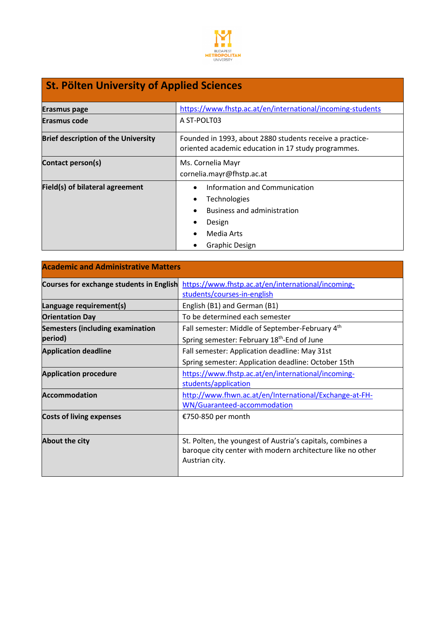

## **St. Pölten University of Applied Sciences**

| <b>Erasmus page</b>                        | https://www.fhstp.ac.at/en/international/incoming-students                                                                                 |
|--------------------------------------------|--------------------------------------------------------------------------------------------------------------------------------------------|
| <b>Erasmus code</b>                        | A ST-POLT03                                                                                                                                |
| <b>Brief description of the University</b> | Founded in 1993, about 2880 students receive a practice-<br>oriented academic education in 17 study programmes.                            |
| Contact person(s)                          | Ms. Cornelia Mayr<br>cornelia.mayr@fhstp.ac.at                                                                                             |
| Field(s) of bilateral agreement            | Information and Communication<br>$\bullet$<br>Technologies<br><b>Business and administration</b><br>Design<br>Media Arts<br>Graphic Design |

| <b>Academic and Administrative Matters</b> |                                                                                                                                            |
|--------------------------------------------|--------------------------------------------------------------------------------------------------------------------------------------------|
| Courses for exchange students in English   | https://www.fhstp.ac.at/en/international/incoming-<br>students/courses-in-english                                                          |
| Language requirement(s)                    | English (B1) and German (B1)                                                                                                               |
| <b>Orientation Day</b>                     | To be determined each semester                                                                                                             |
| <b>Semesters (including examination</b>    | Fall semester: Middle of September-February 4th                                                                                            |
| period)                                    | Spring semester: February 18 <sup>th</sup> -End of June                                                                                    |
| <b>Application deadline</b>                | Fall semester: Application deadline: May 31st                                                                                              |
|                                            | Spring semester: Application deadline: October 15th                                                                                        |
| <b>Application procedure</b>               | https://www.fhstp.ac.at/en/international/incoming-<br>students/application                                                                 |
| <b>Accommodation</b>                       | http://www.fhwn.ac.at/en/International/Exchange-at-FH-<br>WN/Guaranteed-accommodation                                                      |
| <b>Costs of living expenses</b>            | €750-850 per month                                                                                                                         |
| <b>About the city</b>                      | St. Polten, the youngest of Austria's capitals, combines a<br>baroque city center with modern architecture like no other<br>Austrian city. |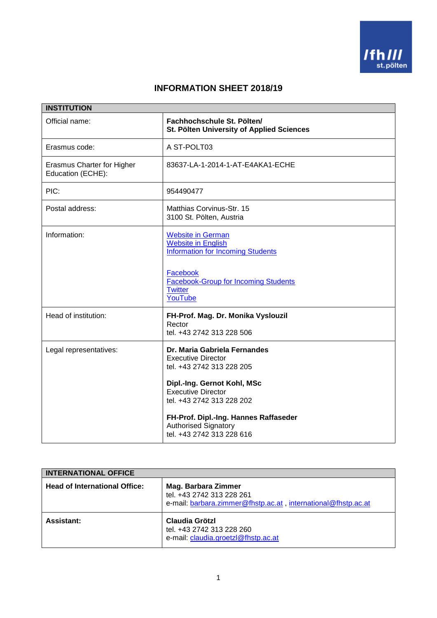

## **INFORMATION SHEET 2018/19**

|                                                 | <b>INSTITUTION</b>                                                                                                                                                                                                                                                                   |  |
|-------------------------------------------------|--------------------------------------------------------------------------------------------------------------------------------------------------------------------------------------------------------------------------------------------------------------------------------------|--|
| Official name:                                  | Fachhochschule St. Pölten/<br><b>St. Pölten University of Applied Sciences</b>                                                                                                                                                                                                       |  |
| Erasmus code:                                   | A ST-POLT03                                                                                                                                                                                                                                                                          |  |
| Erasmus Charter for Higher<br>Education (ECHE): | 83637-LA-1-2014-1-AT-E4AKA1-ECHE                                                                                                                                                                                                                                                     |  |
| PIC:                                            | 954490477                                                                                                                                                                                                                                                                            |  |
| Postal address:                                 | Matthias Corvinus-Str. 15<br>3100 St. Pölten, Austria                                                                                                                                                                                                                                |  |
| Information:                                    | <b>Website in German</b><br><b>Website in English</b><br><b>Information for Incoming Students</b><br>Facebook<br><b>Facebook-Group for Incoming Students</b><br><b>Twitter</b><br>YouTube                                                                                            |  |
| Head of institution:                            | FH-Prof. Mag. Dr. Monika Vyslouzil<br>Rector<br>tel. +43 2742 313 228 506                                                                                                                                                                                                            |  |
| Legal representatives:                          | Dr. Maria Gabriela Fernandes<br><b>Executive Director</b><br>tel. +43 2742 313 228 205<br>Dipl.-Ing. Gernot Kohl, MSc<br><b>Executive Director</b><br>tel. +43 2742 313 228 202<br>FH-Prof. Dipl.-Ing. Hannes Raffaseder<br><b>Authorised Signatory</b><br>tel. +43 2742 313 228 616 |  |

| <b>INTERNATIONAL OFFICE</b>          |                                                                                                                   |
|--------------------------------------|-------------------------------------------------------------------------------------------------------------------|
| <b>Head of International Office:</b> | Mag. Barbara Zimmer<br>tel. +43 2742 313 228 261<br>e-mail: barbara.zimmer@fhstp.ac.at, international@fhstp.ac.at |
| <b>Assistant:</b>                    | Claudia Grötzl<br>tel. +43 2742 313 228 260<br>e-mail: claudia.groetzl@fhstp.ac.at                                |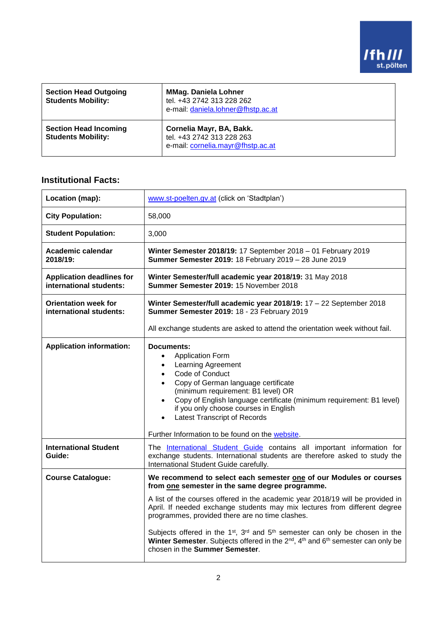

| <b>Section Head Outgoing</b><br><b>Students Mobility:</b> | <b>MMag. Daniela Lohner</b><br>tel. +43 2742 313 228 262<br>e-mail: daniela.lohner@fhstp.ac.at |
|-----------------------------------------------------------|------------------------------------------------------------------------------------------------|
| <b>Section Head Incoming</b><br><b>Students Mobility:</b> | Cornelia Mayr, BA, Bakk.<br>tel. +43 2742 313 228 263<br>e-mail: cornelia.mayr@fhstp.ac.at     |

## **Institutional Facts:**

| Location (map):                                             | www.st-poelten.gv.at (click on 'Stadtplan')                                                                                                                                                                                                                                                                                                                                                                                                    |
|-------------------------------------------------------------|------------------------------------------------------------------------------------------------------------------------------------------------------------------------------------------------------------------------------------------------------------------------------------------------------------------------------------------------------------------------------------------------------------------------------------------------|
| <b>City Population:</b>                                     | 58,000                                                                                                                                                                                                                                                                                                                                                                                                                                         |
| <b>Student Population:</b>                                  | 3,000                                                                                                                                                                                                                                                                                                                                                                                                                                          |
| Academic calendar<br>2018/19:                               | Winter Semester 2018/19: 17 September 2018 - 01 February 2019<br>Summer Semester 2019: 18 February 2019 - 28 June 2019                                                                                                                                                                                                                                                                                                                         |
| <b>Application deadlines for</b><br>international students: | Winter Semester/full academic year 2018/19: 31 May 2018<br>Summer Semester 2019: 15 November 2018                                                                                                                                                                                                                                                                                                                                              |
| <b>Orientation week for</b><br>international students:      | Winter Semester/full academic year 2018/19: 17 - 22 September 2018<br>Summer Semester 2019: 18 - 23 February 2019                                                                                                                                                                                                                                                                                                                              |
|                                                             | All exchange students are asked to attend the orientation week without fail.                                                                                                                                                                                                                                                                                                                                                                   |
| <b>Application information:</b>                             | Documents:<br><b>Application Form</b><br>$\bullet$<br><b>Learning Agreement</b><br>$\bullet$<br>Code of Conduct<br>$\bullet$<br>Copy of German language certificate<br>(minimum requirement: B1 level) OR<br>Copy of English language certificate (minimum requirement: B1 level)<br>$\bullet$<br>if you only choose courses in English<br><b>Latest Transcript of Records</b><br>$\bullet$<br>Further Information to be found on the website. |
| <b>International Student</b><br>Guide:                      | The International Student Guide contains all important information for<br>exchange students. International students are therefore asked to study the<br>International Student Guide carefully.                                                                                                                                                                                                                                                 |
| <b>Course Catalogue:</b>                                    | We recommend to select each semester one of our Modules or courses<br>from one semester in the same degree programme.                                                                                                                                                                                                                                                                                                                          |
|                                                             | A list of the courses offered in the academic year 2018/19 will be provided in<br>April. If needed exchange students may mix lectures from different degree<br>programmes, provided there are no time clashes.                                                                                                                                                                                                                                 |
|                                                             | Subjects offered in the 1 <sup>st</sup> , 3 <sup>rd</sup> and 5 <sup>th</sup> semester can only be chosen in the<br>Winter Semester. Subjects offered in the 2 <sup>nd</sup> , 4 <sup>th</sup> and 6 <sup>th</sup> semester can only be<br>chosen in the Summer Semester.                                                                                                                                                                      |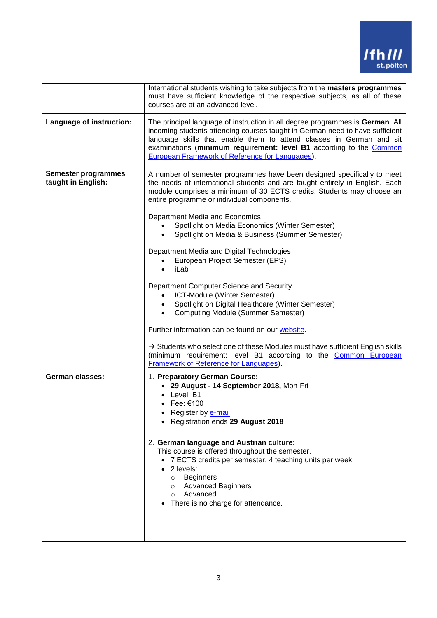

|                                                  | International students wishing to take subjects from the masters programmes<br>must have sufficient knowledge of the respective subjects, as all of these<br>courses are at an advanced level.                                                                                                                                                                  |
|--------------------------------------------------|-----------------------------------------------------------------------------------------------------------------------------------------------------------------------------------------------------------------------------------------------------------------------------------------------------------------------------------------------------------------|
| Language of instruction:                         | The principal language of instruction in all degree programmes is German. All<br>incoming students attending courses taught in German need to have sufficient<br>language skills that enable them to attend classes in German and sit<br>examinations (minimum requirement: level B1 according to the Common<br>European Framework of Reference for Languages). |
| <b>Semester programmes</b><br>taught in English: | A number of semester programmes have been designed specifically to meet<br>the needs of international students and are taught entirely in English. Each<br>module comprises a minimum of 30 ECTS credits. Students may choose an<br>entire programme or individual components.<br>Department Media and Economics                                                |
|                                                  | Spotlight on Media Economics (Winter Semester)<br>Spotlight on Media & Business (Summer Semester)                                                                                                                                                                                                                                                               |
|                                                  | Department Media and Digital Technologies<br>European Project Semester (EPS)<br>iLab                                                                                                                                                                                                                                                                            |
|                                                  | Department Computer Science and Security<br>ICT-Module (Winter Semester)<br>Spotlight on Digital Healthcare (Winter Semester)<br><b>Computing Module (Summer Semester)</b>                                                                                                                                                                                      |
|                                                  | Further information can be found on our website.                                                                                                                                                                                                                                                                                                                |
|                                                  | $\rightarrow$ Students who select one of these Modules must have sufficient English skills<br>(minimum requirement: level B1 according to the Common European<br>Framework of Reference for Languages).                                                                                                                                                         |
| <b>German classes:</b>                           | 1. Preparatory German Course:<br>• 29 August - 14 September 2018, Mon-Fri<br>• Level: B1<br>$\bullet$ Fee: $€100$<br>Register by <b>e-mail</b><br>• Registration ends 29 August 2018                                                                                                                                                                            |
|                                                  | 2. German language and Austrian culture:<br>This course is offered throughout the semester.<br>• 7 ECTS credits per semester, 4 teaching units per week<br>2 levels:<br><b>Beginners</b><br>$\circ$<br><b>Advanced Beginners</b><br>$\circ$<br>Advanced<br>$\circ$<br>There is no charge for attendance.                                                        |
|                                                  |                                                                                                                                                                                                                                                                                                                                                                 |